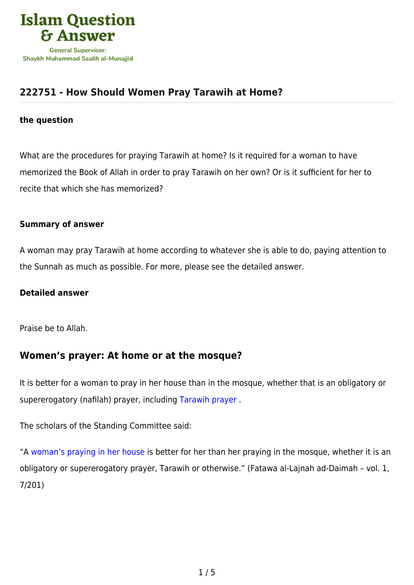

## **[222751 - How Should Women Pray Tarawih at Home?](https://islamqa.com/en/answers/222751/how-should-women-pray-tarawih-at-home)**

### **the question**

What are the procedures for praying Tarawih at home? Is it required for a woman to have memorized the Book of Allah in order to pray Tarawih on her own? Or is it sufficient for her to recite that which she has memorized?

#### **Summary of answer**

A woman may pray Tarawih at home according to whatever she is able to do, paying attention to the Sunnah as much as possible. For more, please see the detailed answer.

### **Detailed answer**

Praise be to Allah.

# **Women's prayer: At home or at the mosque?**

It is better for a woman to pray in her house than in the mosque, whether that is an obligatory or supererogatory (nafilah) prayer, including [Tarawih prayer](https://islamqa.com/en/answers/48957) .

The scholars of the Standing Committee said:

"A [woman's praying in her house](https://islamqa.com/en/answers/3457) is better for her than her praying in the mosque, whether it is an obligatory or supererogatory prayer, Tarawih or otherwise." (Fatawa al-Lajnah ad-Daimah – vol. 1, 7/201)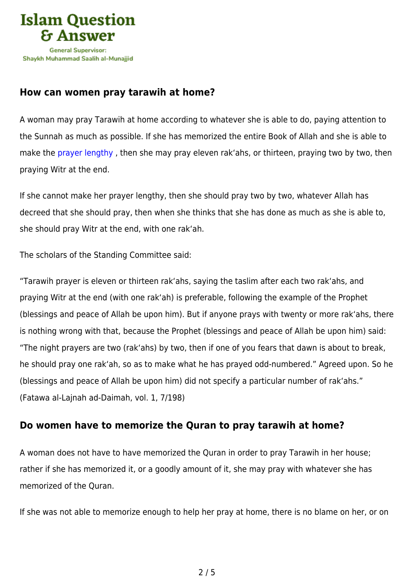

### **How can women pray tarawih at home?**

A woman may pray Tarawih at home according to whatever she is able to do, paying attention to the Sunnah as much as possible. If she has memorized the entire Book of Allah and she is able to make the prayer lengthy, then she may pray eleven rak'ahs, or thirteen, praying two by two, then praying Witr at the end.

If she cannot make her prayer lengthy, then she should pray two by two, whatever Allah has decreed that she should pray, then when she thinks that she has done as much as she is able to, she should pray Witr at the end, with one rak'ah.

The scholars of the Standing Committee said:

"Tarawih prayer is eleven or thirteen rak'ahs, saying the taslim after each two rak'ahs, and praying Witr at the end (with one rak'ah) is preferable, following the example of the Prophet (blessings and peace of Allah be upon him). But if anyone prays with twenty or more rak'ahs, there is nothing wrong with that, because the Prophet (blessings and peace of Allah be upon him) said: "The night prayers are two (rak'ahs) by two, then if one of you fears that dawn is about to break, he should pray one rak'ah, so as to make what he has prayed odd-numbered." Agreed upon. So he (blessings and peace of Allah be upon him) did not specify a particular number of rak'ahs." (Fatawa al-Lajnah ad-Daimah, vol. 1, 7/198)

## **Do women have to memorize the Quran to pray tarawih at home?**

A woman does not have to have memorized the Quran in order to pray Tarawih in her house; rather if she has memorized it, or a goodly amount of it, she may pray with whatever she has memorized of the Quran.

If she was not able to memorize enough to help her pray at home, there is no blame on her, or on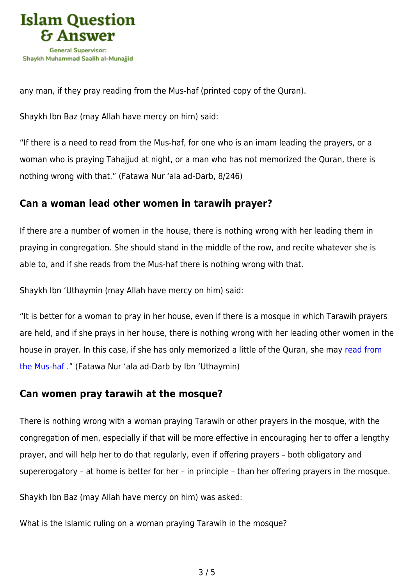

any man, if they pray reading from the Mus-haf (printed copy of the Quran).

Shaykh Ibn Baz (may Allah have mercy on him) said:

"If there is a need to read from the Mus-haf, for one who is an imam leading the prayers, or a woman who is praying Tahajjud at night, or a man who has not memorized the Quran, there is nothing wrong with that." (Fatawa Nur 'ala ad-Darb, 8/246)

### **Can a woman lead other women in tarawih prayer?**

If there are a number of women in the house, there is nothing wrong with her leading them in praying in congregation. She should stand in the middle of the row, and recite whatever she is able to, and if she reads from the Mus-haf there is nothing wrong with that.

Shaykh Ibn 'Uthaymin (may Allah have mercy on him) said:

"It is better for a woman to pray in her house, even if there is a mosque in which Tarawih prayers are held, and if she prays in her house, there is nothing wrong with her leading other women in the house in prayer. In this case, if she has only memorized a little of the Quran, she may [read from](https://islamqa.com/en/answers/69670) [the Mus-haf](https://islamqa.com/en/answers/69670) ." (Fatawa Nur 'ala ad-Darb by Ibn 'Uthaymin)

### **Can women pray tarawih at the mosque?**

There is nothing wrong with a woman praying Tarawih or other prayers in the mosque, with the congregation of men, especially if that will be more effective in encouraging her to offer a lengthy prayer, and will help her to do that regularly, even if offering prayers – both obligatory and supererogatory – at home is better for her – in principle – than her offering prayers in the mosque.

Shaykh Ibn Baz (may Allah have mercy on him) was asked:

What is the Islamic ruling on a woman praying Tarawih in the mosque?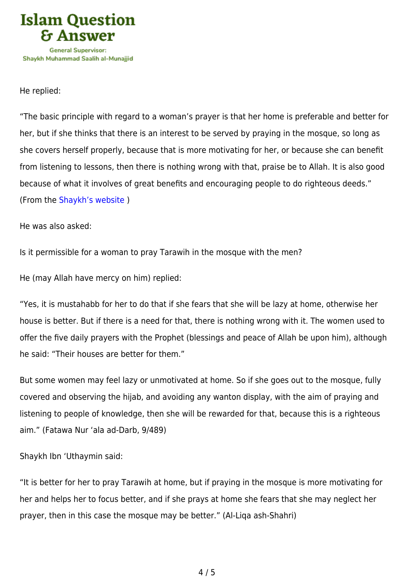

#### He replied:

"The basic principle with regard to a woman's prayer is that her home is preferable and better for her, but if she thinks that there is an interest to be served by praying in the mosque, so long as she covers herself properly, because that is more motivating for her, or because she can benefit from listening to lessons, then there is nothing wrong with that, praise be to Allah. It is also good because of what it involves of great benefits and encouraging people to do righteous deeds." (From the [Shaykh's website](https://islamqa.com/en/answers/17749) )

#### He was also asked:

Is it permissible for a woman to pray Tarawih in the mosque with the men?

He (may Allah have mercy on him) replied:

"Yes, it is mustahabb for her to do that if she fears that she will be lazy at home, otherwise her house is better. But if there is a need for that, there is nothing wrong with it. The women used to offer the five daily prayers with the Prophet (blessings and peace of Allah be upon him), although he said: "Their houses are better for them."

But some women may feel lazy or unmotivated at home. So if she goes out to the mosque, fully covered and observing the hijab, and avoiding any wanton display, with the aim of praying and listening to people of knowledge, then she will be rewarded for that, because this is a righteous aim." (Fatawa Nur 'ala ad-Darb, 9/489)

Shaykh Ibn 'Uthaymin said:

"It is better for her to pray Tarawih at home, but if praying in the mosque is more motivating for her and helps her to focus better, and if she prays at home she fears that she may neglect her prayer, then in this case the mosque may be better." (Al-Liqa ash-Shahri)